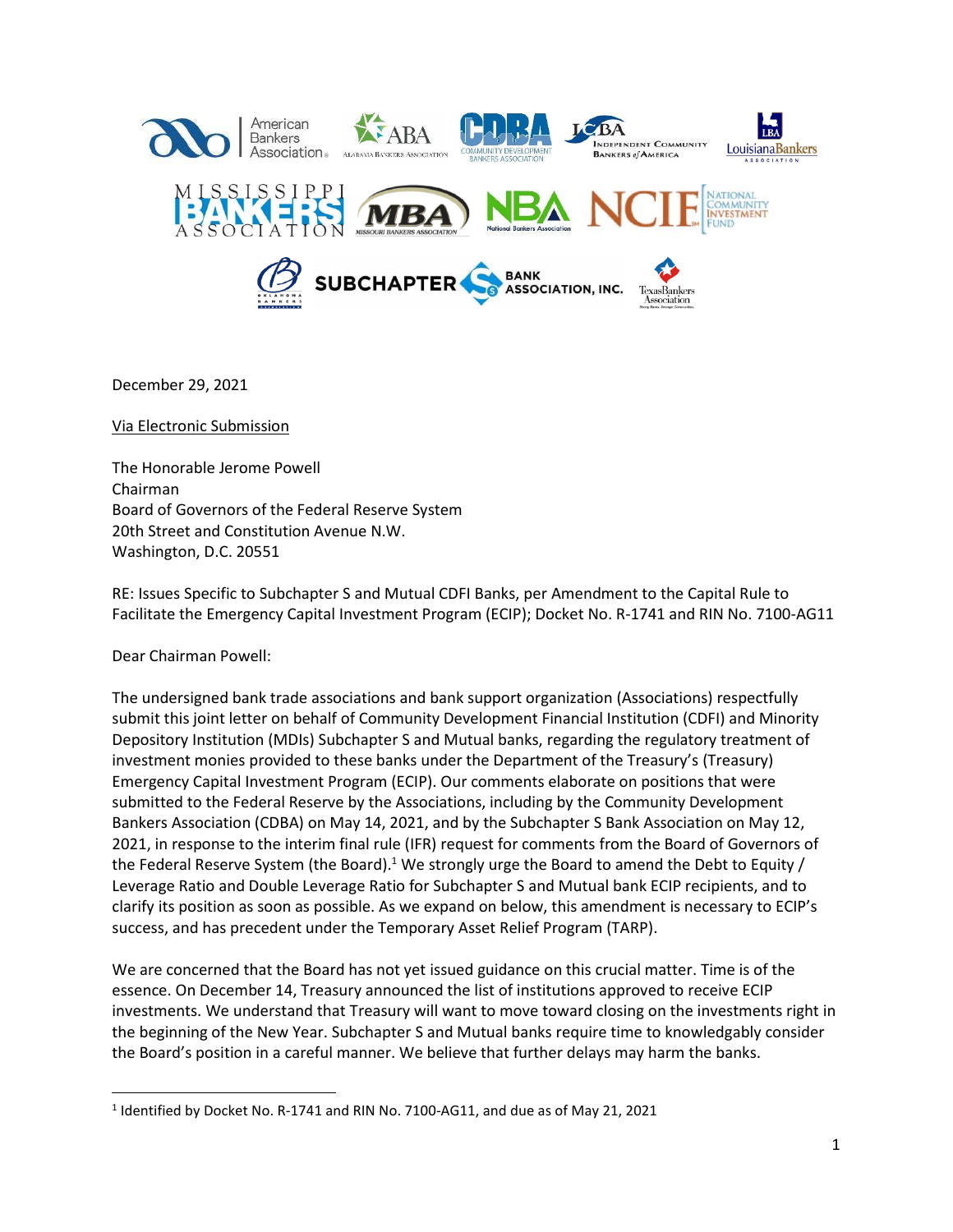

December 29, 2021

Via Electronic Submission

The Honorable Jerome Powell Chairman Board of Governors of the Federal Reserve System 20th Street and Constitution Avenue N.W. Washington, D.C. 20551

RE: Issues Specific to Subchapter S and Mutual CDFI Banks, per Amendment to the Capital Rule to Facilitate the Emergency Capital Investment Program (ECIP); Docket No. R-1741 and RIN No. 7100-AG11

Dear Chairman Powell:

 $\overline{\phantom{a}}$ 

The undersigned bank trade associations and bank support organization (Associations) respectfully submit this joint letter on behalf of Community Development Financial Institution (CDFI) and Minority Depository Institution (MDIs) Subchapter S and Mutual banks, regarding the regulatory treatment of investment monies provided to these banks under the Department of the Treasury's (Treasury) Emergency Capital Investment Program (ECIP). Our comments elaborate on positions that were submitted to the Federal Reserve by the Associations, including by the Community Development Bankers Association (CDBA) on May 14, 2021, and by the Subchapter S Bank Association on May 12, 2021, in response to the interim final rule (IFR) request for comments from the Board of Governors of the Federal Reserve System (the Board).<sup>1</sup> We strongly urge the Board to amend the Debt to Equity / Leverage Ratio and Double Leverage Ratio for Subchapter S and Mutual bank ECIP recipients, and to clarify its position as soon as possible. As we expand on below, this amendment is necessary to ECIP's success, and has precedent under the Temporary Asset Relief Program (TARP).

We are concerned that the Board has not yet issued guidance on this crucial matter. Time is of the essence. On December 14, Treasury announced the list of institutions approved to receive ECIP investments. We understand that Treasury will want to move toward closing on the investments right in the beginning of the New Year. Subchapter S and Mutual banks require time to knowledgably consider the Board's position in a careful manner. We believe that further delays may harm the banks.

 $<sup>1</sup>$  Identified by Docket No. R-1741 and RIN No. 7100-AG11, and due as of May 21, 2021</sup>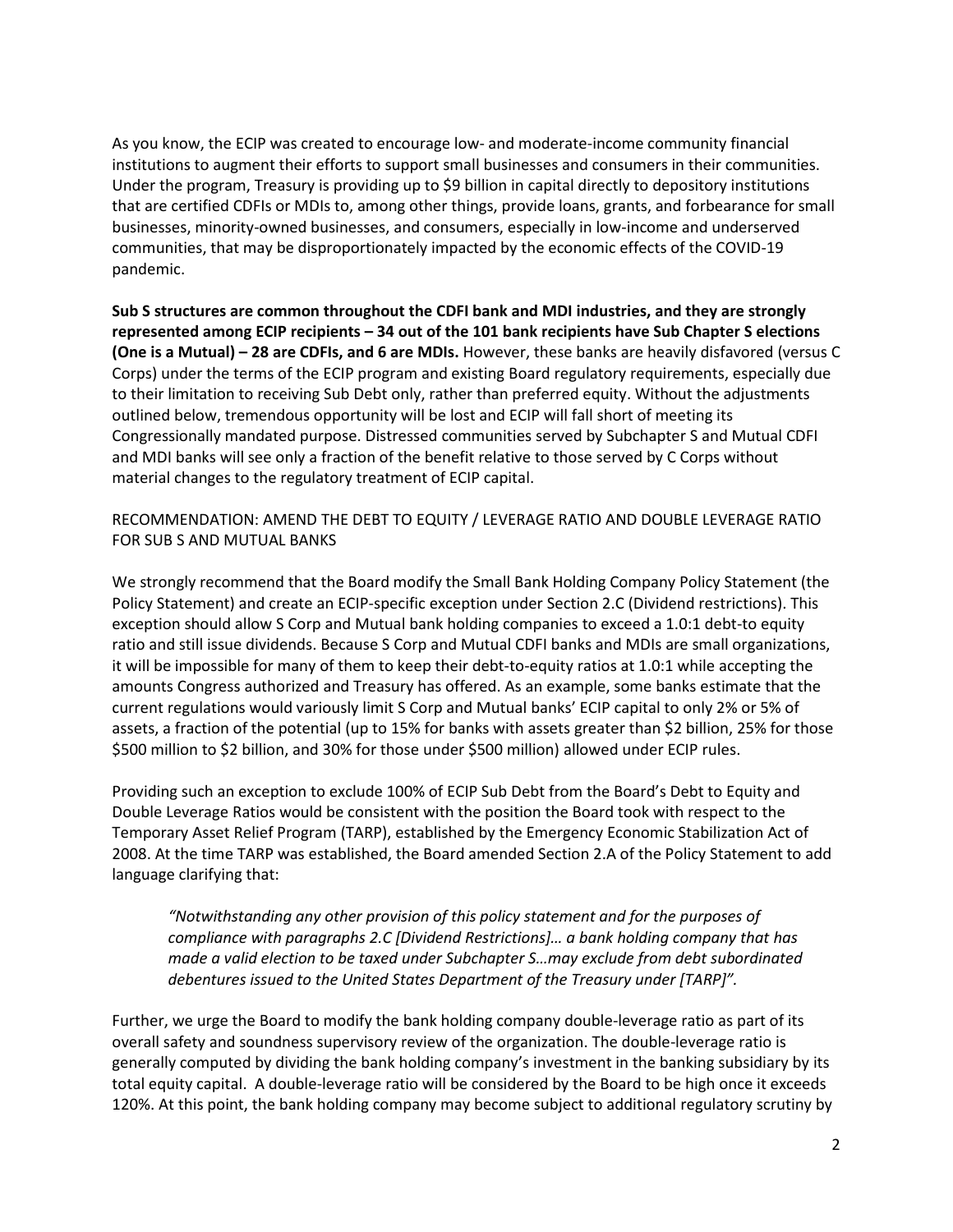As you know, the ECIP was created to encourage low- and moderate-income community financial institutions to augment their efforts to support small businesses and consumers in their communities. Under the program, Treasury is providing up to \$9 billion in capital directly to depository institutions that are certified CDFIs or MDIs to, among other things, provide loans, grants, and forbearance for small businesses, minority-owned businesses, and consumers, especially in low-income and underserved communities, that may be disproportionately impacted by the economic effects of the COVID-19 pandemic.

**Sub S structures are common throughout the CDFI bank and MDI industries, and they are strongly represented among ECIP recipients – 34 out of the 101 bank recipients have Sub Chapter S elections (One is a Mutual) – 28 are CDFIs, and 6 are MDIs.** However, these banks are heavily disfavored (versus C Corps) under the terms of the ECIP program and existing Board regulatory requirements, especially due to their limitation to receiving Sub Debt only, rather than preferred equity. Without the adjustments outlined below, tremendous opportunity will be lost and ECIP will fall short of meeting its Congressionally mandated purpose. Distressed communities served by Subchapter S and Mutual CDFI and MDI banks will see only a fraction of the benefit relative to those served by C Corps without material changes to the regulatory treatment of ECIP capital.

RECOMMENDATION: AMEND THE DEBT TO EQUITY / LEVERAGE RATIO AND DOUBLE LEVERAGE RATIO FOR SUB S AND MUTUAL BANKS

We strongly recommend that the Board modify the Small Bank Holding Company Policy Statement (the Policy Statement) and create an ECIP-specific exception under Section 2.C (Dividend restrictions). This exception should allow S Corp and Mutual bank holding companies to exceed a 1.0:1 debt-to equity ratio and still issue dividends. Because S Corp and Mutual CDFI banks and MDIs are small organizations, it will be impossible for many of them to keep their debt-to-equity ratios at 1.0:1 while accepting the amounts Congress authorized and Treasury has offered. As an example, some banks estimate that the current regulations would variously limit S Corp and Mutual banks' ECIP capital to only 2% or 5% of assets, a fraction of the potential (up to 15% for banks with assets greater than \$2 billion, 25% for those \$500 million to \$2 billion, and 30% for those under \$500 million) allowed under ECIP rules.

Providing such an exception to exclude 100% of ECIP Sub Debt from the Board's Debt to Equity and Double Leverage Ratios would be consistent with the position the Board took with respect to the Temporary Asset Relief Program (TARP), established by the Emergency Economic Stabilization Act of 2008. At the time TARP was established, the Board amended Section 2.A of the Policy Statement to add language clarifying that:

*"Notwithstanding any other provision of this policy statement and for the purposes of compliance with paragraphs 2.C [Dividend Restrictions]… a bank holding company that has made a valid election to be taxed under Subchapter S…may exclude from debt subordinated debentures issued to the United States Department of the Treasury under [TARP]".* 

Further, we urge the Board to modify the bank holding company double-leverage ratio as part of its overall safety and soundness supervisory review of the organization. The double-leverage ratio is generally computed by dividing the bank holding company's investment in the banking subsidiary by its total equity capital. A double-leverage ratio will be considered by the Board to be high once it exceeds 120%. At this point, the bank holding company may become subject to additional regulatory scrutiny by